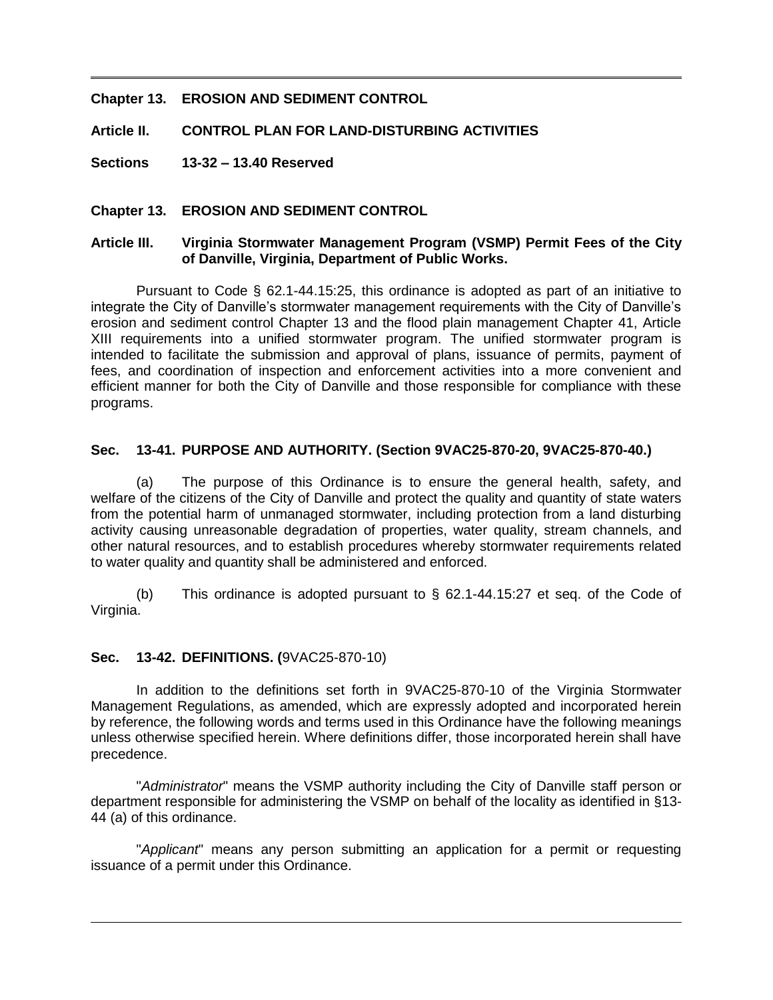#### **Chapter 13. EROSION AND SEDIMENT CONTROL**

**Article II. CONTROL PLAN FOR LAND-DISTURBING ACTIVITIES**

**Sections 13-32 – 13.40 Reserved**

#### **Chapter 13. EROSION AND SEDIMENT CONTROL**

#### **Article III. Virginia Stormwater Management Program (VSMP) Permit Fees of the City of Danville, Virginia, Department of Public Works.**

Pursuant to Code § 62.1-44.15:25, this ordinance is adopted as part of an initiative to integrate the City of Danville's stormwater management requirements with the City of Danville's erosion and sediment control Chapter 13 and the flood plain management Chapter 41, Article XIII requirements into a unified stormwater program. The unified stormwater program is intended to facilitate the submission and approval of plans, issuance of permits, payment of fees, and coordination of inspection and enforcement activities into a more convenient and efficient manner for both the City of Danville and those responsible for compliance with these programs.

#### **Sec. 13-41. PURPOSE AND AUTHORITY. (Section [9VAC25-870-20,](http://leg1.state.va.us/cgi-bin/legp504.exe?000+reg+9VAC25-870-20) [9VAC25-870-40.](http://leg1.state.va.us/cgi-bin/legp504.exe?000+reg+9VAC25-870-40))**

(a) The purpose of this Ordinance is to ensure the general health, safety, and welfare of the citizens of the City of Danville and protect the quality and quantity of state waters from the potential harm of unmanaged stormwater, including protection from a land disturbing activity causing unreasonable degradation of properties, water quality, stream channels, and other natural resources, and to establish procedures whereby stormwater requirements related to water quality and quantity shall be administered and enforced.

(b) This ordinance is adopted pursuant to § 62.1-44.15:27 et seq. of the Code of Virginia.

#### **Sec. 13-42. DEFINITIONS. (**[9VAC25-870-10\)](http://leg1.state.va.us/cgi-bin/legp504.exe?000+reg+9VAC25-870-10)

In addition to the definitions set forth in [9VAC25-870-10](http://leg1.state.va.us/cgi-bin/legp504.exe?000+reg+9VAC25-870-10) of the Virginia Stormwater Management Regulations, as amended, which are expressly adopted and incorporated herein by reference, the following words and terms used in this Ordinance have the following meanings unless otherwise specified herein. Where definitions differ, those incorporated herein shall have precedence.

"*Administrator*" means the VSMP authority including the City of Danville staff person or department responsible for administering the VSMP on behalf of the locality as identified in §13- 44 (a) of this ordinance.

"*Applicant*" means any person submitting an application for a permit or requesting issuance of a permit under this Ordinance.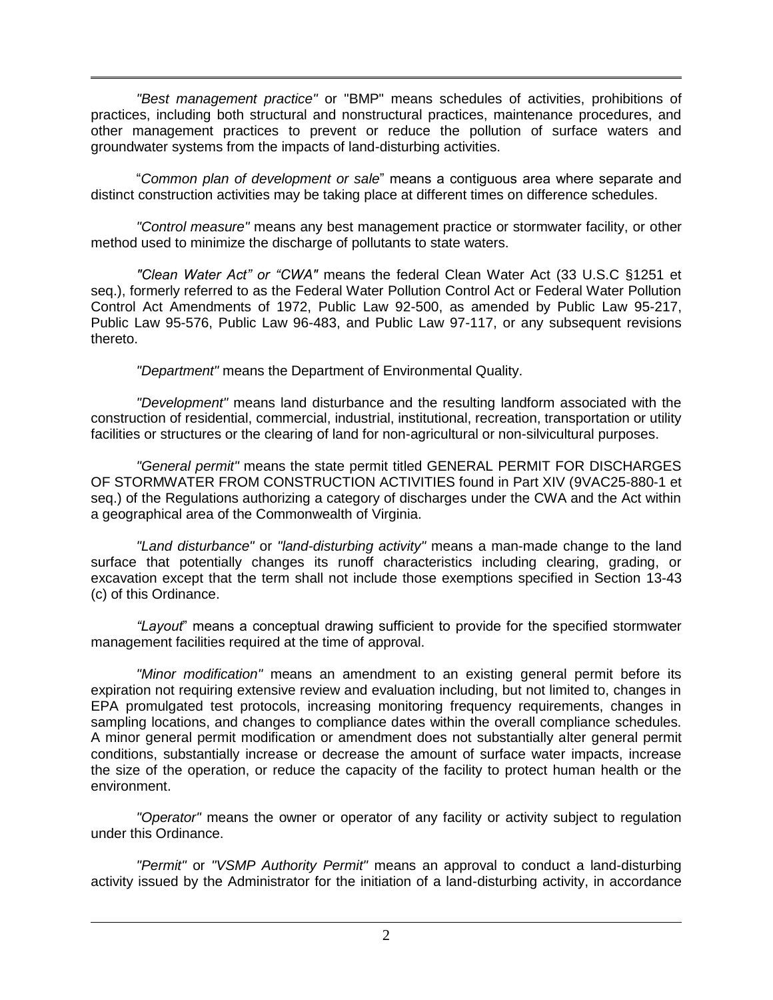*"Best management practice"* or "BMP" means schedules of activities, prohibitions of practices, including both structural and nonstructural practices, maintenance procedures, and other management practices to prevent or reduce the pollution of surface waters and groundwater systems from the impacts of land-disturbing activities.

"*Common plan of development or sale*" means a contiguous area where separate and distinct construction activities may be taking place at different times on difference schedules.

*"Control measure"* means any best management practice or stormwater facility, or other method used to minimize the discharge of pollutants to state waters.

*"Clean Water Act" or "CWA"* means the federal Clean Water Act (33 U.S.C §1251 et seq.), formerly referred to as the Federal Water Pollution Control Act or Federal Water Pollution Control Act Amendments of 1972, Public Law 92-500, as amended by Public Law 95-217, Public Law 95-576, Public Law 96-483, and Public Law 97-117, or any subsequent revisions thereto.

*"Department"* means the Department of Environmental Quality.

*"Development"* means land disturbance and the resulting landform associated with the construction of residential, commercial, industrial, institutional, recreation, transportation or utility facilities or structures or the clearing of land for non-agricultural or non-silvicultural purposes.

*"General permit"* means the state permit titled GENERAL PERMIT FOR DISCHARGES OF STORMWATER FROM CONSTRUCTION ACTIVITIES found in Part XIV [\(9VAC25-880-1](http://leg1.state.va.us/cgi-bin/legp504.exe?000+reg+9VAC25-880-1) et seq.) of the Regulations authorizing a category of discharges under the CWA and the Act within a geographical area of the Commonwealth of Virginia.

*"Land disturbance"* or *"land-disturbing activity"* means a man-made change to the land surface that potentially changes its runoff characteristics including clearing, grading, or excavation except that the term shall not include those exemptions specified in Section 13-43 (c) of this Ordinance.

*"Layout*" means a conceptual drawing sufficient to provide for the specified stormwater management facilities required at the time of approval.

*"Minor modification"* means an amendment to an existing general permit before its expiration not requiring extensive review and evaluation including, but not limited to, changes in EPA promulgated test protocols, increasing monitoring frequency requirements, changes in sampling locations, and changes to compliance dates within the overall compliance schedules. A minor general permit modification or amendment does not substantially alter general permit conditions, substantially increase or decrease the amount of surface water impacts, increase the size of the operation, or reduce the capacity of the facility to protect human health or the environment.

*"Operator"* means the owner or operator of any facility or activity subject to regulation under this Ordinance.

*"Permit"* or *"VSMP Authority Permit"* means an approval to conduct a land-disturbing activity issued by the Administrator for the initiation of a land-disturbing activity, in accordance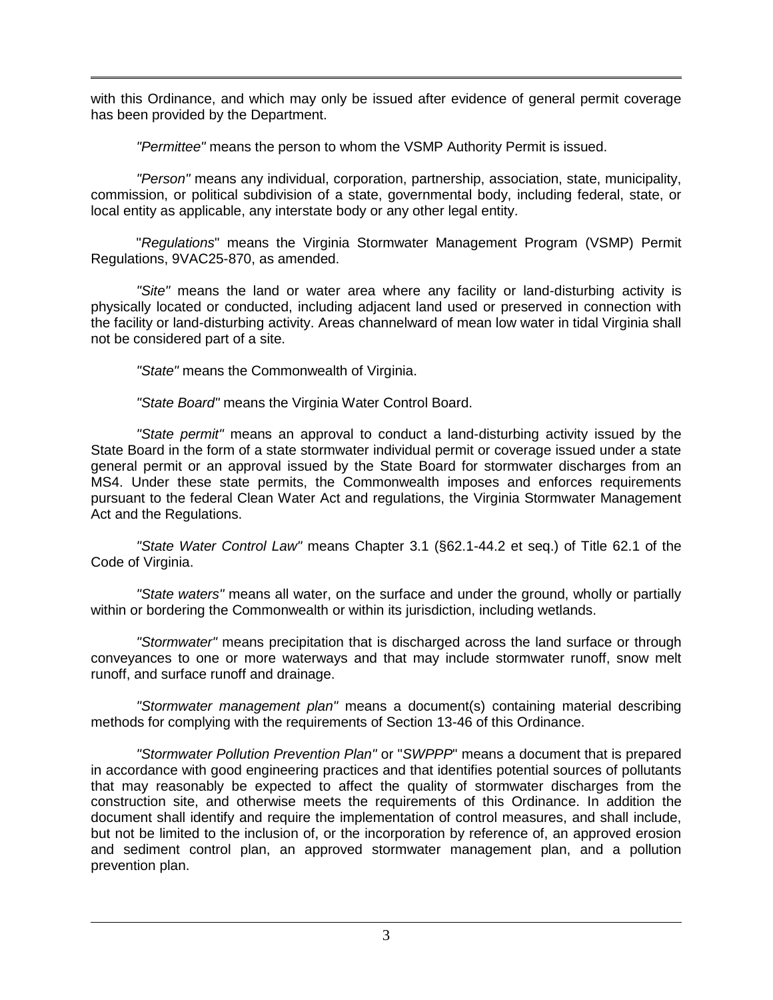with this Ordinance, and which may only be issued after evidence of general permit coverage has been provided by the Department.

*"Permittee"* means the person to whom the VSMP Authority Permit is issued.

*"Person"* means any individual, corporation, partnership, association, state, municipality, commission, or political subdivision of a state, governmental body, including federal, state, or local entity as applicable, any interstate body or any other legal entity.

"*Regulations*" means the Virginia Stormwater Management Program (VSMP) Permit Regulations, [9VAC25-870,](http://leg1.state.va.us/cgi-bin/legp504.exe?000+reg+9VAC25-870) as amended.

*"Site"* means the land or water area where any facility or land-disturbing activity is physically located or conducted, including adjacent land used or preserved in connection with the facility or land-disturbing activity. Areas channelward of mean low water in tidal Virginia shall not be considered part of a site.

*"State"* means the Commonwealth of Virginia.

*"State Board"* means the Virginia Water Control Board.

*"State permit"* means an approval to conduct a land-disturbing activity issued by the State Board in the form of a state stormwater individual permit or coverage issued under a state general permit or an approval issued by the State Board for stormwater discharges from an MS4. Under these state permits, the Commonwealth imposes and enforces requirements pursuant to the federal Clean Water Act and regulations, the Virginia Stormwater Management Act and the Regulations.

*"State Water Control Law"* means Chapter 3.1 (§62.1-44.2 et seq.) of Title 62.1 of the Code of Virginia.

*"State waters"* means all water, on the surface and under the ground, wholly or partially within or bordering the Commonwealth or within its jurisdiction, including wetlands.

*"Stormwater"* means precipitation that is discharged across the land surface or through conveyances to one or more waterways and that may include stormwater runoff, snow melt runoff, and surface runoff and drainage.

*"Stormwater management plan"* means a document(s) containing material describing methods for complying with the requirements of Section 13-46 of this Ordinance.

*"Stormwater Pollution Prevention Plan"* or "*SWPPP*" means a document that is prepared in accordance with good engineering practices and that identifies potential sources of pollutants that may reasonably be expected to affect the quality of stormwater discharges from the construction site, and otherwise meets the requirements of this Ordinance. In addition the document shall identify and require the implementation of control measures, and shall include, but not be limited to the inclusion of, or the incorporation by reference of, an approved erosion and sediment control plan, an approved stormwater management plan, and a pollution prevention plan.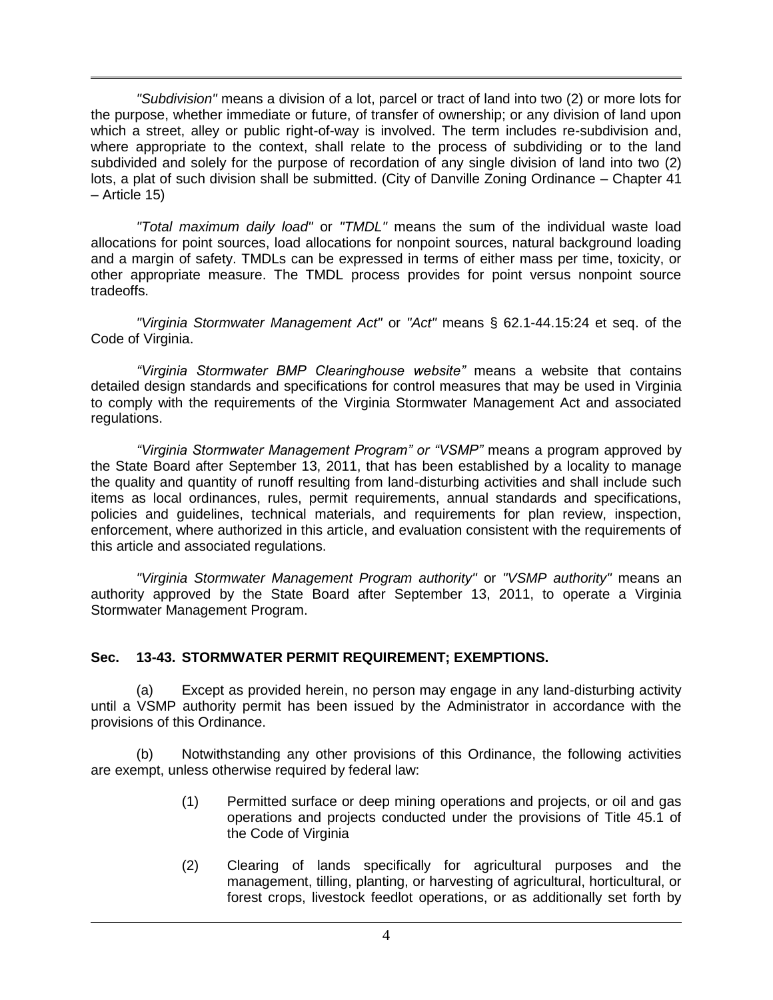*"Subdivision"* means a division of a lot, parcel or tract of land into two (2) or more lots for the purpose, whether immediate or future, of transfer of ownership; or any division of land upon which a street, alley or public right-of-way is involved. The term includes re-subdivision and, where appropriate to the context, shall relate to the process of subdividing or to the land subdivided and solely for the purpose of recordation of any single division of land into two (2) lots, a plat of such division shall be submitted. (City of Danville Zoning Ordinance – Chapter 41 – Article 15)

*"Total maximum daily load"* or *"TMDL"* means the sum of the individual waste load allocations for point sources, load allocations for nonpoint sources, natural background loading and a margin of safety. TMDLs can be expressed in terms of either mass per time, toxicity, or other appropriate measure. The TMDL process provides for point versus nonpoint source tradeoffs.

*"Virginia Stormwater Management Act"* or *"Act"* means § 62.1-44.15:24 et seq. of the Code of Virginia.

*"Virginia Stormwater BMP Clearinghouse website"* means a website that contains detailed design standards and specifications for control measures that may be used in Virginia to comply with the requirements of the Virginia Stormwater Management Act and associated regulations.

*"Virginia Stormwater Management Program" or "VSMP"* means a program approved by the State Board after September 13, 2011, that has been established by a locality to manage the quality and quantity of runoff resulting from land-disturbing activities and shall include such items as local ordinances, rules, permit requirements, annual standards and specifications, policies and guidelines, technical materials, and requirements for plan review, inspection, enforcement, where authorized in this article, and evaluation consistent with the requirements of this article and associated regulations.

*"Virginia Stormwater Management Program authority"* or *"VSMP authority"* means an authority approved by the State Board after September 13, 2011, to operate a Virginia Stormwater Management Program.

## **Sec. 13-43. STORMWATER PERMIT REQUIREMENT; EXEMPTIONS.**

(a) Except as provided herein, no person may engage in any land-disturbing activity until a VSMP authority permit has been issued by the Administrator in accordance with the provisions of this Ordinance.

(b) Notwithstanding any other provisions of this Ordinance, the following activities are exempt, unless otherwise required by federal law:

- (1) Permitted surface or deep mining operations and projects, or oil and gas operations and projects conducted under the provisions of Title 45.1 of the Code of Virginia
- (2) Clearing of lands specifically for agricultural purposes and the management, tilling, planting, or harvesting of agricultural, horticultural, or forest crops, livestock feedlot operations, or as additionally set forth by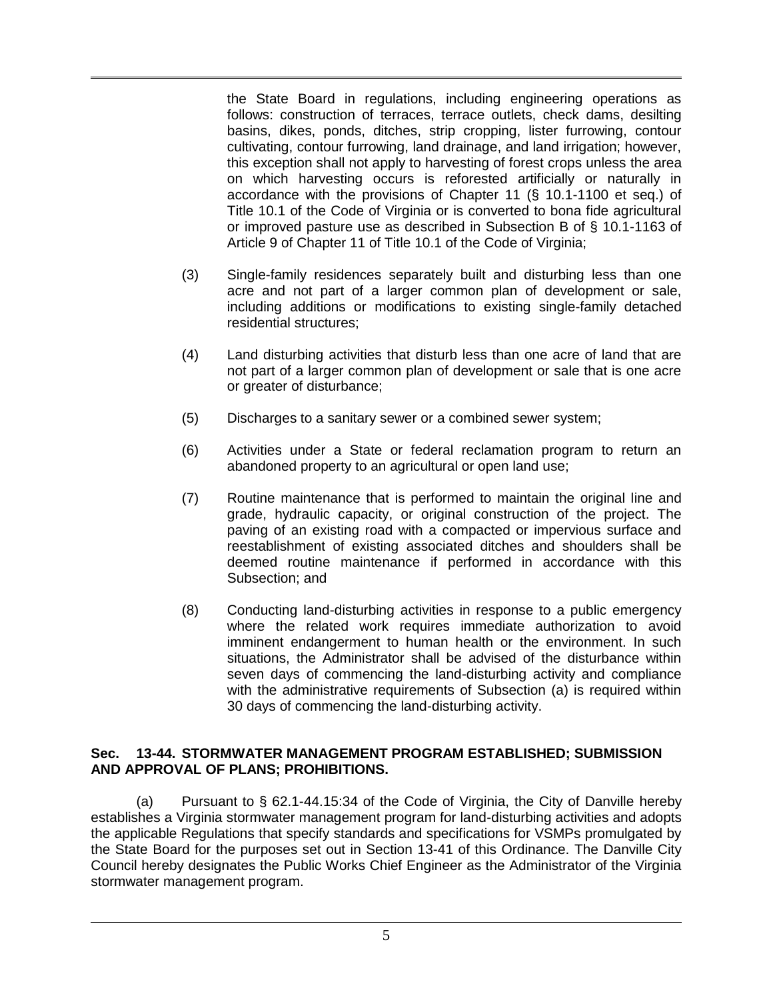the State Board in regulations, including engineering operations as follows: construction of terraces, terrace outlets, check dams, desilting basins, dikes, ponds, ditches, strip cropping, lister furrowing, contour cultivating, contour furrowing, land drainage, and land irrigation; however, this exception shall not apply to harvesting of forest crops unless the area on which harvesting occurs is reforested artificially or naturally in accordance with the provisions of Chapter 11 (§ 10.1-1100 et seq.) of Title 10.1 of the Code of Virginia or is converted to bona fide agricultural or improved pasture use as described in Subsection B of § 10.1-1163 of Article 9 of Chapter 11 of Title 10.1 of the Code of Virginia;

- (3) Single-family residences separately built and disturbing less than one acre and not part of a larger common plan of development or sale, including additions or modifications to existing single-family detached residential structures;
- (4) Land disturbing activities that disturb less than one acre of land that are not part of a larger common plan of development or sale that is one acre or greater of disturbance;
- (5) Discharges to a sanitary sewer or a combined sewer system;
- (6) Activities under a State or federal reclamation program to return an abandoned property to an agricultural or open land use;
- (7) Routine maintenance that is performed to maintain the original line and grade, hydraulic capacity, or original construction of the project. The paving of an existing road with a compacted or impervious surface and reestablishment of existing associated ditches and shoulders shall be deemed routine maintenance if performed in accordance with this Subsection; and
- (8) Conducting land-disturbing activities in response to a public emergency where the related work requires immediate authorization to avoid imminent endangerment to human health or the environment. In such situations, the Administrator shall be advised of the disturbance within seven days of commencing the land-disturbing activity and compliance with the administrative requirements of Subsection (a) is required within 30 days of commencing the land-disturbing activity.

#### **Sec. 13-44. STORMWATER MANAGEMENT PROGRAM ESTABLISHED; SUBMISSION AND APPROVAL OF PLANS; PROHIBITIONS.**

(a) Pursuant to  $\S$  62.1-44.15:34 of the Code of Virginia, the City of Danville hereby establishes a Virginia stormwater management program for land-disturbing activities and adopts the applicable Regulations that specify standards and specifications for VSMPs promulgated by the State Board for the purposes set out in Section 13-41 of this Ordinance. The Danville City Council hereby designates the Public Works Chief Engineer as the Administrator of the Virginia stormwater management program.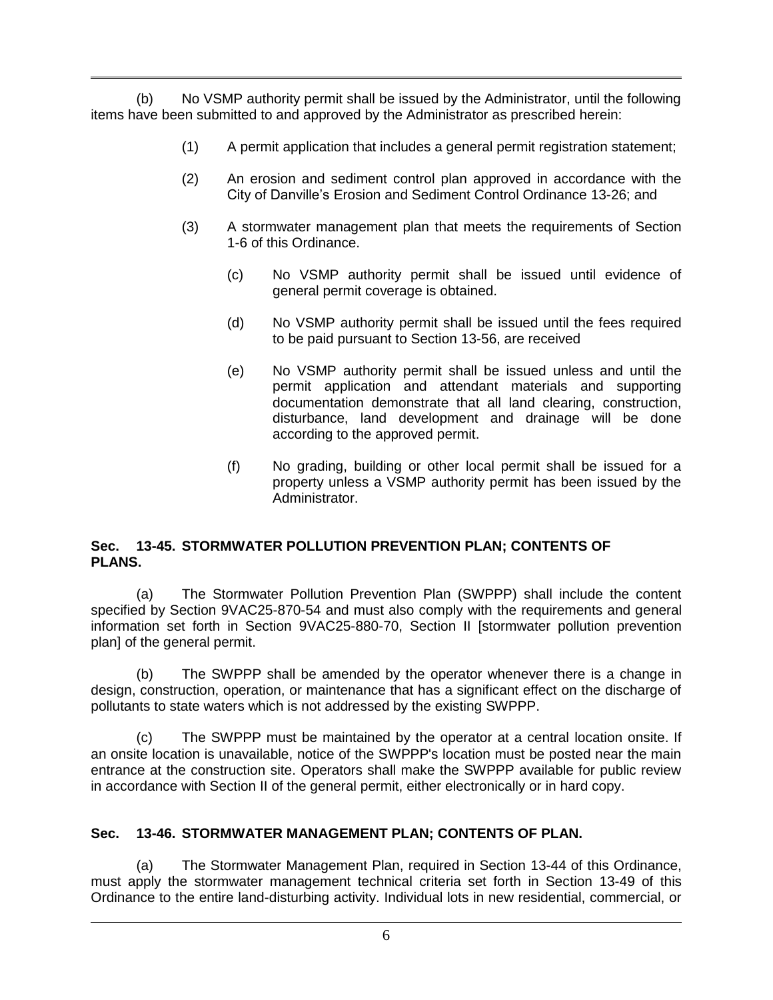(b) No VSMP authority permit shall be issued by the Administrator, until the following items have been submitted to and approved by the Administrator as prescribed herein:

- (1) A permit application that includes a general permit registration statement;
- (2) An erosion and sediment control plan approved in accordance with the City of Danville's Erosion and Sediment Control Ordinance 13-26; and
- (3) A stormwater management plan that meets the requirements of Section 1-6 of this Ordinance.
	- (c) No VSMP authority permit shall be issued until evidence of general permit coverage is obtained.
	- (d) No VSMP authority permit shall be issued until the fees required to be paid pursuant to Section 13-56, are received
	- (e) No VSMP authority permit shall be issued unless and until the permit application and attendant materials and supporting documentation demonstrate that all land clearing, construction, disturbance, land development and drainage will be done according to the approved permit.
	- (f) No grading, building or other local permit shall be issued for a property unless a VSMP authority permit has been issued by the Administrator.

## **Sec. 13-45. STORMWATER POLLUTION PREVENTION PLAN; CONTENTS OF PLANS.**

(a) The Stormwater Pollution Prevention Plan (SWPPP) shall include the content specified by Section [9VAC25-870-54](http://leg1.state.va.us/cgi-bin/legp504.exe?000+reg+9VAC25-870-54) and must also comply with the requirements and general information set forth in Section [9VAC25-880-70,](http://leg1.state.va.us/cgi-bin/legp504.exe?000+reg+9VAC25-880-70) Section II [stormwater pollution prevention plan] of the general permit.

(b) The SWPPP shall be amended by the operator whenever there is a change in design, construction, operation, or maintenance that has a significant effect on the discharge of pollutants to state waters which is not addressed by the existing SWPPP.

(c) The SWPPP must be maintained by the operator at a central location onsite. If an onsite location is unavailable, notice of the SWPPP's location must be posted near the main entrance at the construction site. Operators shall make the SWPPP available for public review in accordance with Section II of the general permit, either electronically or in hard copy.

## **Sec. 13-46. STORMWATER MANAGEMENT PLAN; CONTENTS OF PLAN.**

(a) The Stormwater Management Plan, required in Section 13-44 of this Ordinance, must apply the stormwater management technical criteria set forth in Section 13-49 of this Ordinance to the entire land-disturbing activity. Individual lots in new residential, commercial, or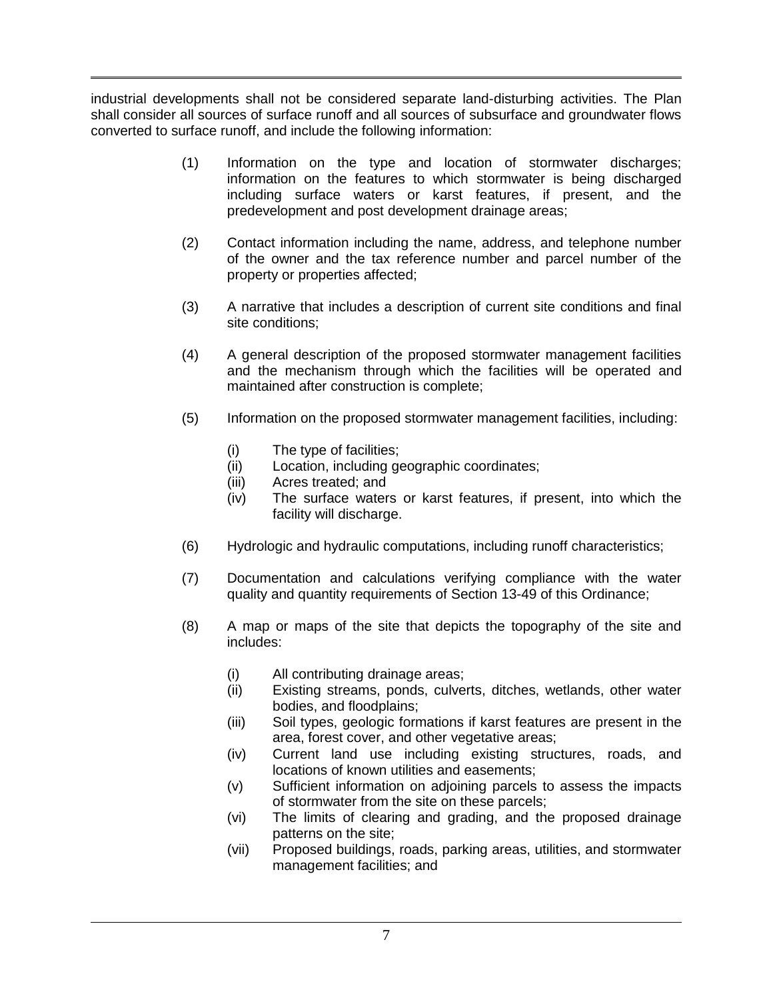industrial developments shall not be considered separate land-disturbing activities. The Plan shall consider all sources of surface runoff and all sources of subsurface and groundwater flows converted to surface runoff, and include the following information:

- (1) Information on the type and location of stormwater discharges; information on the features to which stormwater is being discharged including surface waters or karst features, if present, and the predevelopment and post development drainage areas;
- (2) Contact information including the name, address, and telephone number of the owner and the tax reference number and parcel number of the property or properties affected;
- (3) A narrative that includes a description of current site conditions and final site conditions;
- (4) A general description of the proposed stormwater management facilities and the mechanism through which the facilities will be operated and maintained after construction is complete;
- (5) Information on the proposed stormwater management facilities, including:
	- (i) The type of facilities;
	- (ii) Location, including geographic coordinates;
	- (iii) Acres treated; and
	- (iv) The surface waters or karst features, if present, into which the facility will discharge.
- (6) Hydrologic and hydraulic computations, including runoff characteristics;
- (7) Documentation and calculations verifying compliance with the water quality and quantity requirements of Section 13-49 of this Ordinance;
- (8) A map or maps of the site that depicts the topography of the site and includes:
	- (i) All contributing drainage areas;
	- (ii) Existing streams, ponds, culverts, ditches, wetlands, other water bodies, and floodplains;
	- (iii) Soil types, geologic formations if karst features are present in the area, forest cover, and other vegetative areas;
	- (iv) Current land use including existing structures, roads, and locations of known utilities and easements;
	- (v) Sufficient information on adjoining parcels to assess the impacts of stormwater from the site on these parcels;
	- (vi) The limits of clearing and grading, and the proposed drainage patterns on the site;
	- (vii) Proposed buildings, roads, parking areas, utilities, and stormwater management facilities; and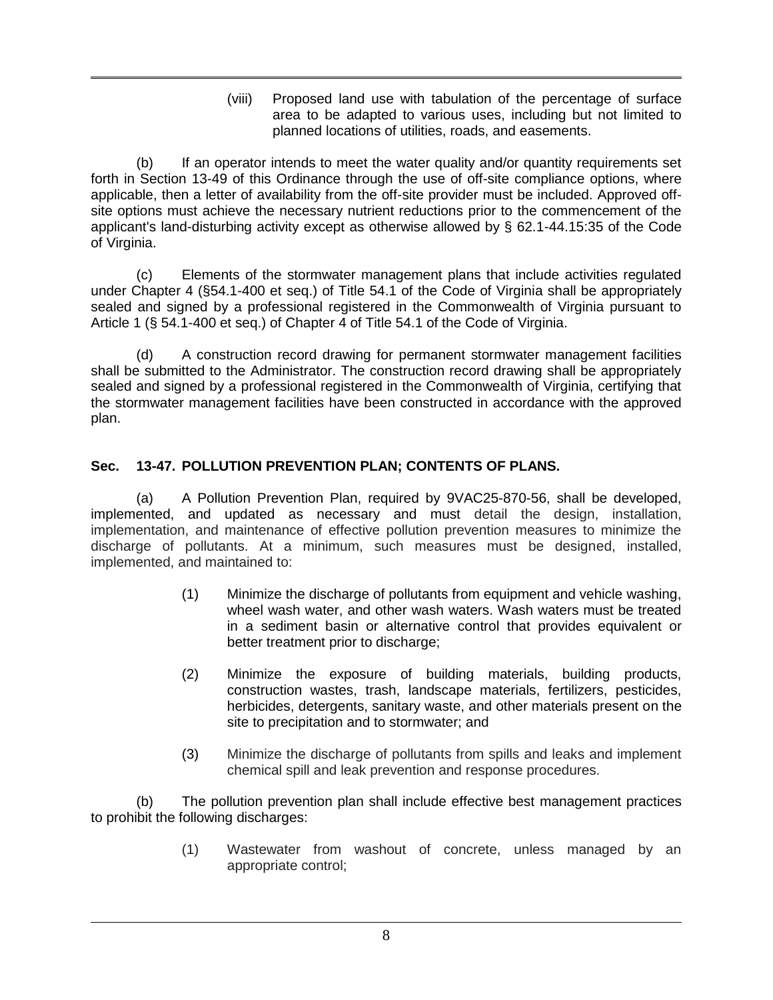(viii) Proposed land use with tabulation of the percentage of surface area to be adapted to various uses, including but not limited to planned locations of utilities, roads, and easements.

(b) If an operator intends to meet the water quality and/or quantity requirements set forth in Section 13-49 of this Ordinance through the use of off-site compliance options, where applicable, then a letter of availability from the off-site provider must be included. Approved offsite options must achieve the necessary nutrient reductions prior to the commencement of the applicant's land-disturbing activity except as otherwise allowed by § 62.1-44.15:35 of the Code of Virginia.

(c) Elements of the stormwater management plans that include activities regulated under Chapter 4 (§54.1-400 et seq.) of Title 54.1 of the Code of Virginia shall be appropriately sealed and signed by a professional registered in the Commonwealth of Virginia pursuant to Article 1 (§ 54.1-400 et seq.) of Chapter 4 of Title 54.1 of the Code of Virginia.

(d) A construction record drawing for permanent stormwater management facilities shall be submitted to the Administrator. The construction record drawing shall be appropriately sealed and signed by a professional registered in the Commonwealth of Virginia, certifying that the stormwater management facilities have been constructed in accordance with the approved plan.

# **Sec. 13-47. POLLUTION PREVENTION PLAN; CONTENTS OF PLANS.**

(a) A Pollution Prevention Plan, required by [9VAC25-870-56,](http://lis.virginia.gov/cgi-bin/legp604.exe?000+reg+9VAC25-870-56) shall be developed, implemented, and updated as necessary and must detail the design, installation, implementation, and maintenance of effective pollution prevention measures to minimize the discharge of pollutants. At a minimum, such measures must be designed, installed, implemented, and maintained to:

- (1) Minimize the discharge of pollutants from equipment and vehicle washing, wheel wash water, and other wash waters. Wash waters must be treated in a sediment basin or alternative control that provides equivalent or better treatment prior to discharge;
- (2) Minimize the exposure of building materials, building products, construction wastes, trash, landscape materials, fertilizers, pesticides, herbicides, detergents, sanitary waste, and other materials present on the site to precipitation and to stormwater; and
- (3) Minimize the discharge of pollutants from spills and leaks and implement chemical spill and leak prevention and response procedures.

(b) The pollution prevention plan shall include effective best management practices to prohibit the following discharges:

> (1) Wastewater from washout of concrete, unless managed by an appropriate control;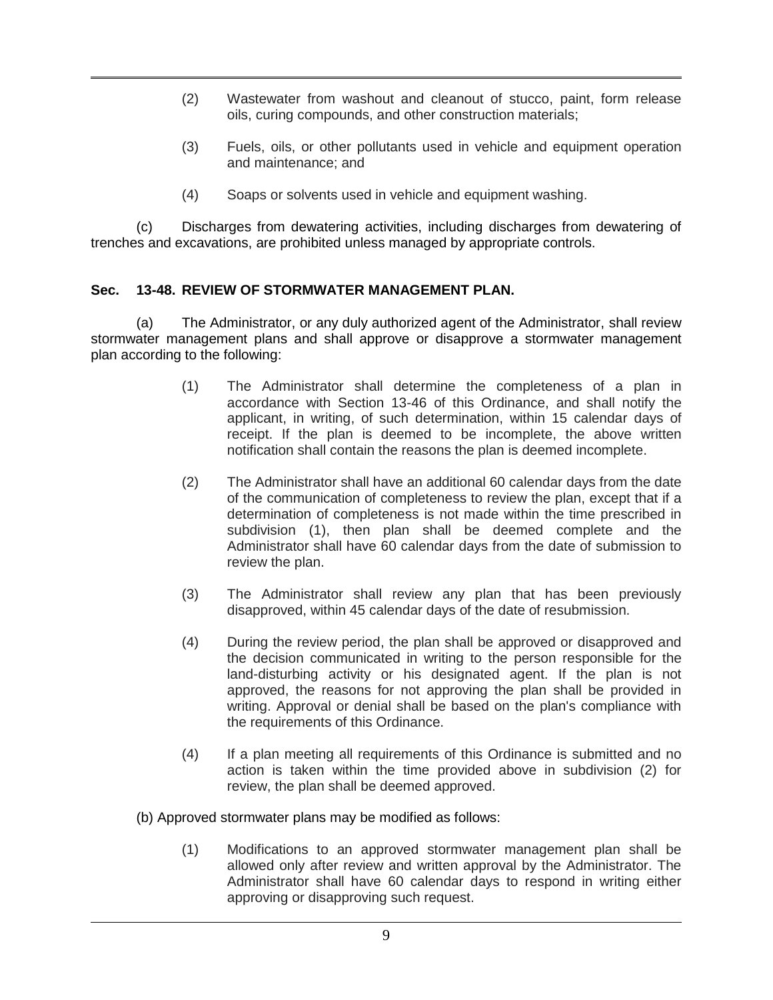- (2) Wastewater from washout and cleanout of stucco, paint, form release oils, curing compounds, and other construction materials;
- (3) Fuels, oils, or other pollutants used in vehicle and equipment operation and maintenance; and
- (4) Soaps or solvents used in vehicle and equipment washing.

(c) Discharges from dewatering activities, including discharges from dewatering of trenches and excavations, are prohibited unless managed by appropriate controls.

#### **Sec. 13-48. REVIEW OF STORMWATER MANAGEMENT PLAN.**

(a) The Administrator, or any duly authorized agent of the Administrator, shall review stormwater management plans and shall approve or disapprove a stormwater management plan according to the following:

- (1) The Administrator shall determine the completeness of a plan in accordance with Section 13-46 of this Ordinance, and shall notify the applicant, in writing, of such determination, within 15 calendar days of receipt. If the plan is deemed to be incomplete, the above written notification shall contain the reasons the plan is deemed incomplete.
- (2) The Administrator shall have an additional 60 calendar days from the date of the communication of completeness to review the plan, except that if a determination of completeness is not made within the time prescribed in subdivision (1), then plan shall be deemed complete and the Administrator shall have 60 calendar days from the date of submission to review the plan.
- (3) The Administrator shall review any plan that has been previously disapproved, within 45 calendar days of the date of resubmission.
- (4) During the review period, the plan shall be approved or disapproved and the decision communicated in writing to the person responsible for the land-disturbing activity or his designated agent. If the plan is not approved, the reasons for not approving the plan shall be provided in writing. Approval or denial shall be based on the plan's compliance with the requirements of this Ordinance.
- (4) If a plan meeting all requirements of this Ordinance is submitted and no action is taken within the time provided above in subdivision (2) for review, the plan shall be deemed approved.
- (b) Approved stormwater plans may be modified as follows:
	- (1) Modifications to an approved stormwater management plan shall be allowed only after review and written approval by the Administrator. The Administrator shall have 60 calendar days to respond in writing either approving or disapproving such request.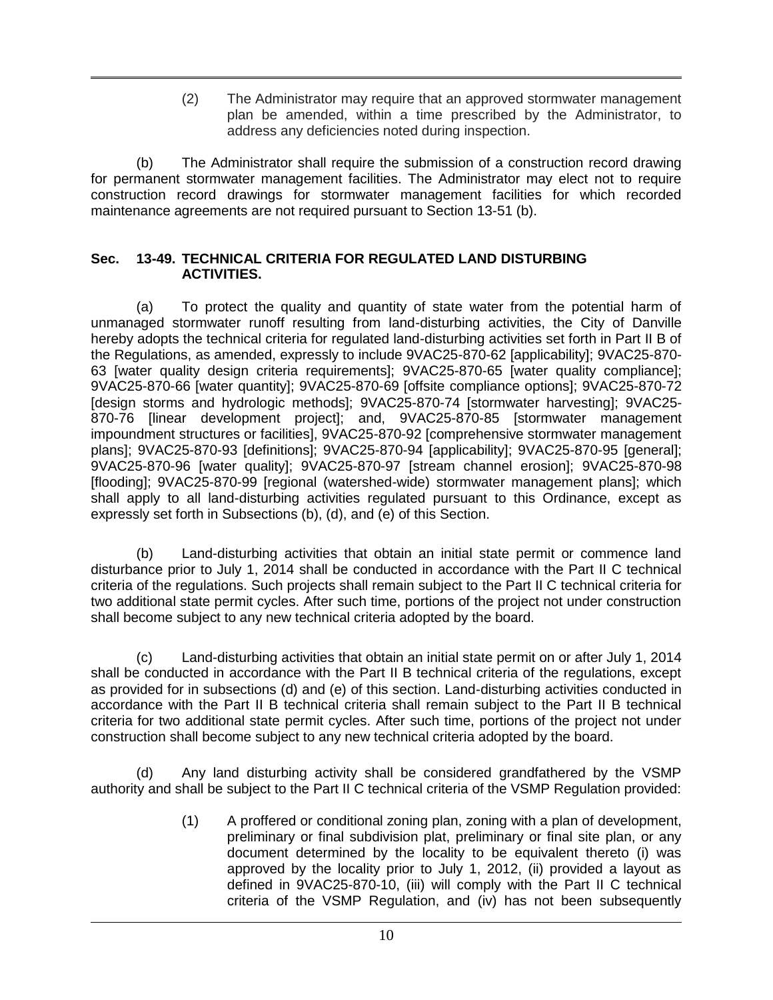(2) The Administrator may require that an approved stormwater management plan be amended, within a time prescribed by the Administrator, to address any deficiencies noted during inspection.

(b) The Administrator shall require the submission of a construction record drawing for permanent stormwater management facilities. The Administrator may elect not to require construction record drawings for stormwater management facilities for which recorded maintenance agreements are not required pursuant to Section 13-51 (b).

#### **Sec. 13-49. TECHNICAL CRITERIA FOR REGULATED LAND DISTURBING ACTIVITIES.**

(a) To protect the quality and quantity of state water from the potential harm of unmanaged stormwater runoff resulting from land-disturbing activities, the City of Danville hereby adopts the technical criteria for regulated land-disturbing activities set forth in Part II B of the Regulations, as amended, expressly to include 9VAC25-870-62 [applicability]; [9VAC25-870-](http://leg1.state.va.us/cgi-bin/legp504.exe?000+reg+9VAC25-870-63) [63](http://leg1.state.va.us/cgi-bin/legp504.exe?000+reg+9VAC25-870-63) [water quality design criteria requirements]; [9VAC25-870-65](http://leg1.state.va.us/cgi-bin/legp504.exe?000+reg+9VAC25-870-65) [water quality compliance]; [9VAC25-870-66](http://leg1.state.va.us/cgi-bin/legp504.exe?000+reg+9VAC25-870-66) [water quantity]; [9VAC25-870-](http://leg1.state.va.us/cgi-bin/legp504.exe?000+reg+9VAC25-870-66)69 [offsite compliance options]; [9VAC25-870-7](http://leg1.state.va.us/cgi-bin/legp504.exe?000+reg+9VAC25-870-66)2 [design storms and hydrologic methods]; [9VAC25-870-7](http://leg1.state.va.us/cgi-bin/legp504.exe?000+reg+9VAC25-870-66)4 [stormwater harvesting]; [9VAC25-](http://leg1.state.va.us/cgi-bin/legp504.exe?000+reg+9VAC25-870-66) [870-](http://leg1.state.va.us/cgi-bin/legp504.exe?000+reg+9VAC25-870-66)76 [linear development project]; and, [9VAC25-870-](http://leg1.state.va.us/cgi-bin/legp504.exe?000+reg+9VAC25-870-66)85 [stormwater management impoundment structures or facilities], 9VAC25-870-92 [comprehensive stormwater management plans]; 9VAC25-870-93 [definitions]; 9VAC25-870-94 [applicability]; 9VAC25-870-95 [general]; 9VAC25-870-96 [water quality]; 9VAC25-870-97 [stream channel erosion]; 9VAC25-870-98 [flooding]; 9VAC25-870-99 [regional (watershed-wide) stormwater management plans]; which shall apply to all land-disturbing activities regulated pursuant to this Ordinance, except as expressly set forth in Subsections (b), (d), and (e) of this Section.

(b) Land-disturbing activities that obtain an initial state permit or commence land disturbance prior to July 1, 2014 shall be conducted in accordance with the Part II C technical criteria of the regulations. Such projects shall remain subject to the Part II C technical criteria for two additional state permit cycles. After such time, portions of the project not under construction shall become subject to any new technical criteria adopted by the board.

(c) Land-disturbing activities that obtain an initial state permit on or after July 1, 2014 shall be conducted in accordance with the Part II B technical criteria of the regulations, except as provided for in subsections (d) and (e) of this section. Land-disturbing activities conducted in accordance with the Part II B technical criteria shall remain subject to the Part II B technical criteria for two additional state permit cycles. After such time, portions of the project not under construction shall become subject to any new technical criteria adopted by the board.

(d) Any land disturbing activity shall be considered grandfathered by the VSMP authority and shall be subject to the Part II C technical criteria of the VSMP Regulation provided:

> (1) A proffered or conditional zoning plan, zoning with a plan of development, preliminary or final subdivision plat, preliminary or final site plan, or any document determined by the locality to be equivalent thereto (i) was approved by the locality prior to July 1, 2012, (ii) provided a layout as defined in 9VAC25-870-10, (iii) will comply with the Part II C technical criteria of the VSMP Regulation, and (iv) has not been subsequently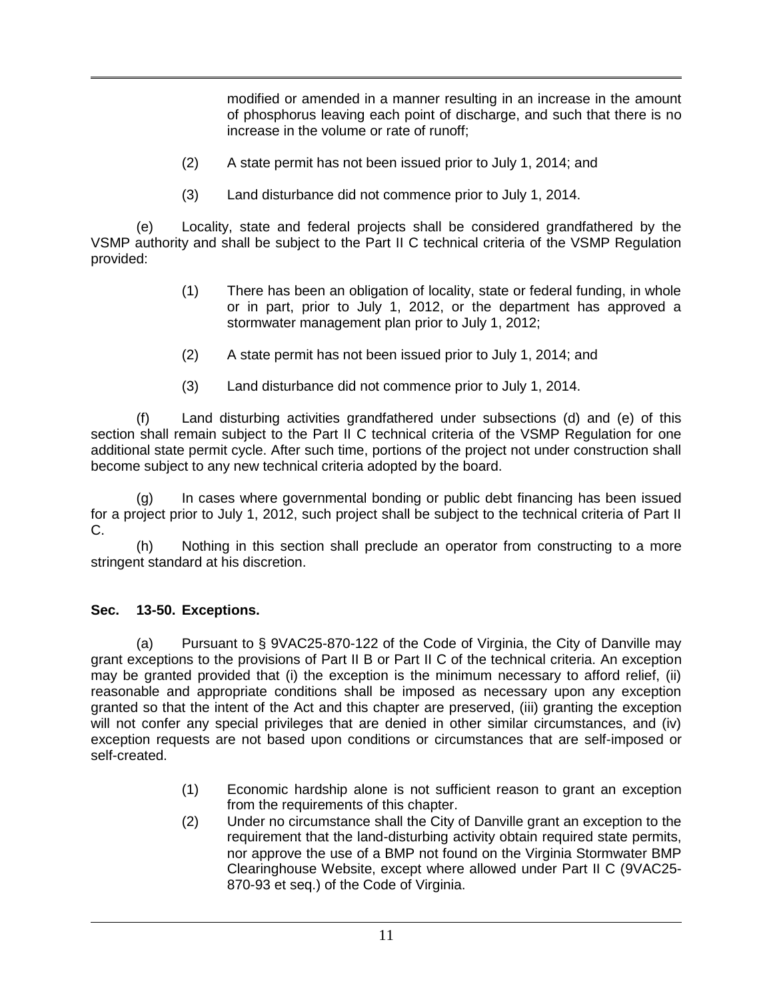modified or amended in a manner resulting in an increase in the amount of phosphorus leaving each point of discharge, and such that there is no increase in the volume or rate of runoff;

- (2) A state permit has not been issued prior to July 1, 2014; and
- (3) Land disturbance did not commence prior to July 1, 2014.

(e) Locality, state and federal projects shall be considered grandfathered by the VSMP authority and shall be subject to the Part II C technical criteria of the VSMP Regulation provided:

- (1) There has been an obligation of locality, state or federal funding, in whole or in part, prior to July 1, 2012, or the department has approved a stormwater management plan prior to July 1, 2012;
- (2) A state permit has not been issued prior to July 1, 2014; and
- (3) Land disturbance did not commence prior to July 1, 2014.

(f) Land disturbing activities grandfathered under subsections (d) and (e) of this section shall remain subject to the Part II C technical criteria of the VSMP Regulation for one additional state permit cycle. After such time, portions of the project not under construction shall become subject to any new technical criteria adopted by the board.

(g) In cases where governmental bonding or public debt financing has been issued for a project prior to July 1, 2012, such project shall be subject to the technical criteria of Part II C.

(h) Nothing in this section shall preclude an operator from constructing to a more stringent standard at his discretion.

# **Sec. 13-50. Exceptions.**

(a) Pursuant to § 9VAC25-870-122 of the Code of Virginia, the City of Danville may grant exceptions to the provisions of Part II B or Part II C of the technical criteria. An exception may be granted provided that (i) the exception is the minimum necessary to afford relief, (ii) reasonable and appropriate conditions shall be imposed as necessary upon any exception granted so that the intent of the Act and this chapter are preserved, (iii) granting the exception will not confer any special privileges that are denied in other similar circumstances, and (iv) exception requests are not based upon conditions or circumstances that are self-imposed or self-created.

- (1) Economic hardship alone is not sufficient reason to grant an exception from the requirements of this chapter.
- (2) Under no circumstance shall the City of Danville grant an exception to the requirement that the land-disturbing activity obtain required state permits, nor approve the use of a BMP not found on the Virginia Stormwater BMP Clearinghouse Website, except where allowed under Part II C [\(9VAC25-](http://lis.virginia.gov/cgi-bin/legp604.exe?000+reg+9VAC25-870-93) [870-93](http://lis.virginia.gov/cgi-bin/legp604.exe?000+reg+9VAC25-870-93) et seq.) of the Code of Virginia.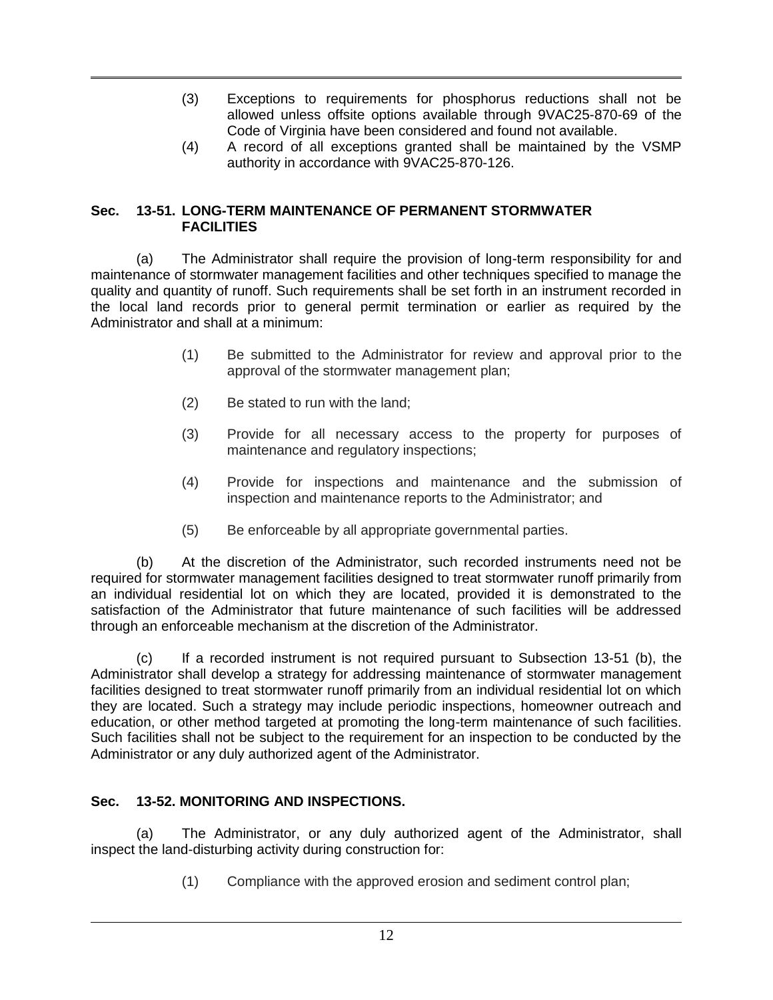- (3) Exceptions to requirements for phosphorus reductions shall not be allowed unless offsite options available through [9VAC25-870-69](http://lis.virginia.gov/cgi-bin/legp604.exe?000+reg+9VAC25-870-69) of the Code of Virginia have been considered and found not available.
- (4) A record of all exceptions granted shall be maintained by the VSMP authority in accordance with [9VAC25-870-126.](http://lis.virginia.gov/cgi-bin/legp604.exe?000+reg+9VAC25-870-126)

#### **Sec. 13-51. LONG-TERM MAINTENANCE OF PERMANENT STORMWATER FACILITIES**

(a) The Administrator shall require the provision of long-term responsibility for and maintenance of stormwater management facilities and other techniques specified to manage the quality and quantity of runoff. Such requirements shall be set forth in an instrument recorded in the local land records prior to general permit termination or earlier as required by the Administrator and shall at a minimum:

- (1) Be submitted to the Administrator for review and approval prior to the approval of the stormwater management plan;
- (2) Be stated to run with the land;
- (3) Provide for all necessary access to the property for purposes of maintenance and regulatory inspections;
- (4) Provide for inspections and maintenance and the submission of inspection and maintenance reports to the Administrator; and
- (5) Be enforceable by all appropriate governmental parties.

(b) At the discretion of the Administrator, such recorded instruments need not be required for stormwater management facilities designed to treat stormwater runoff primarily from an individual residential lot on which they are located, provided it is demonstrated to the satisfaction of the Administrator that future maintenance of such facilities will be addressed through an enforceable mechanism at the discretion of the Administrator.

(c) If a recorded instrument is not required pursuant to Subsection 13-51 (b), the Administrator shall develop a strategy for addressing maintenance of stormwater management facilities designed to treat stormwater runoff primarily from an individual residential lot on which they are located. Such a strategy may include periodic inspections, homeowner outreach and education, or other method targeted at promoting the long-term maintenance of such facilities. Such facilities shall not be subject to the requirement for an inspection to be conducted by the Administrator or any duly authorized agent of the Administrator.

# **Sec. 13-52. MONITORING AND INSPECTIONS.**

(a) The Administrator, or any duly authorized agent of the Administrator, shall inspect the land-disturbing activity during construction for:

(1) Compliance with the approved erosion and sediment control plan;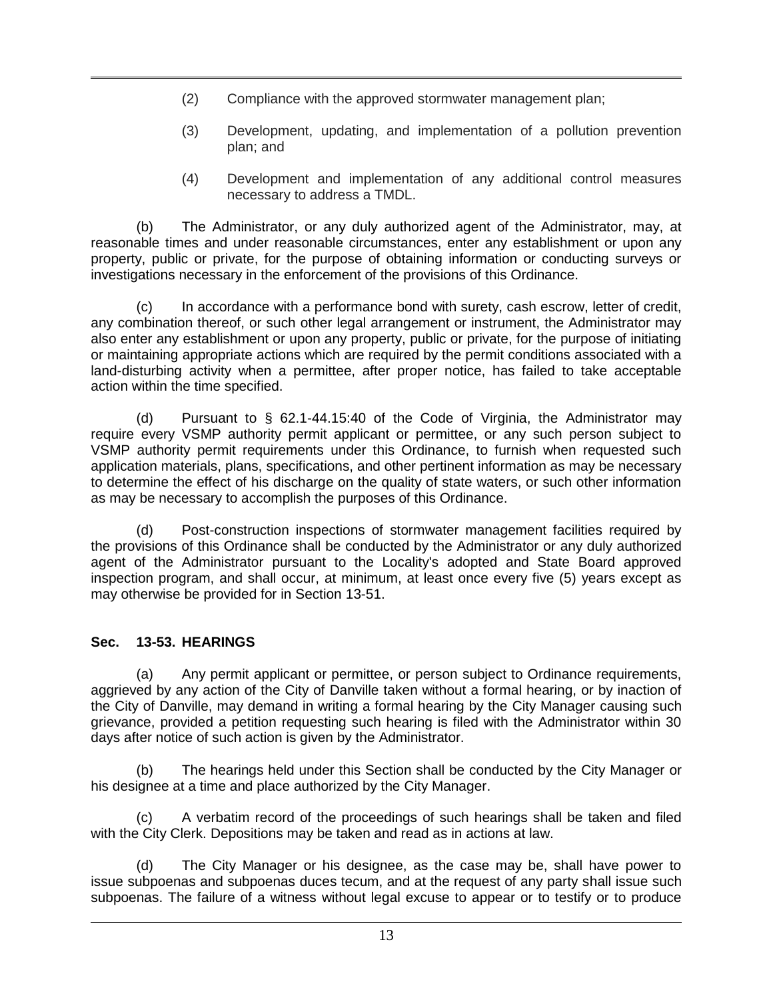- (2) Compliance with the approved stormwater management plan;
- (3) Development, updating, and implementation of a pollution prevention plan; and
- (4) Development and implementation of any additional control measures necessary to address a TMDL.

(b) The Administrator, or any duly authorized agent of the Administrator, may, at reasonable times and under reasonable circumstances, enter any establishment or upon any property, public or private, for the purpose of obtaining information or conducting surveys or investigations necessary in the enforcement of the provisions of this Ordinance.

(c) In accordance with a performance bond with surety, cash escrow, letter of credit, any combination thereof, or such other legal arrangement or instrument, the Administrator may also enter any establishment or upon any property, public or private, for the purpose of initiating or maintaining appropriate actions which are required by the permit conditions associated with a land-disturbing activity when a permittee, after proper notice, has failed to take acceptable action within the time specified.

(d) Pursuant to § 62.1-44.15:40 of the Code of Virginia, the Administrator may require every VSMP authority permit applicant or permittee, or any such person subject to VSMP authority permit requirements under this Ordinance, to furnish when requested such application materials, plans, specifications, and other pertinent information as may be necessary to determine the effect of his discharge on the quality of state waters, or such other information as may be necessary to accomplish the purposes of this Ordinance.

(d) Post-construction inspections of stormwater management facilities required by the provisions of this Ordinance shall be conducted by the Administrator or any duly authorized agent of the Administrator pursuant to the Locality's adopted and State Board approved inspection program, and shall occur, at minimum, at least once every five (5) years except as may otherwise be provided for in Section 13-51.

# **Sec. 13-53. HEARINGS**

(a) Any permit applicant or permittee, or person subject to Ordinance requirements, aggrieved by any action of the City of Danville taken without a formal hearing, or by inaction of the City of Danville, may demand in writing a formal hearing by the City Manager causing such grievance, provided a petition requesting such hearing is filed with the Administrator within 30 days after notice of such action is given by the Administrator.

(b) The hearings held under this Section shall be conducted by the City Manager or his designee at a time and place authorized by the City Manager.

(c) A verbatim record of the proceedings of such hearings shall be taken and filed with the City Clerk. Depositions may be taken and read as in actions at law.

(d) The City Manager or his designee, as the case may be, shall have power to issue subpoenas and subpoenas duces tecum, and at the request of any party shall issue such subpoenas. The failure of a witness without legal excuse to appear or to testify or to produce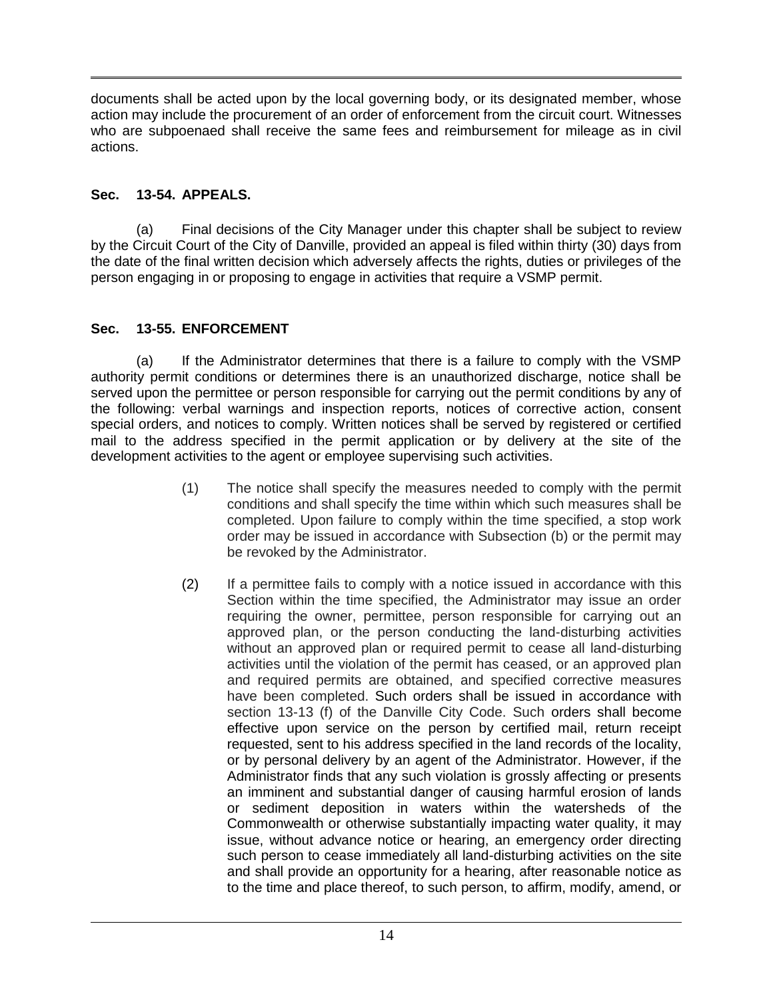documents shall be acted upon by the local governing body, or its designated member, whose action may include the procurement of an order of enforcement from the circuit court. Witnesses who are subpoenaed shall receive the same fees and reimbursement for mileage as in civil actions.

# **Sec. 13-54. APPEALS.**

(a) Final decisions of the City Manager under this chapter shall be subject to review by the Circuit Court of the City of Danville, provided an appeal is filed within thirty (30) days from the date of the final written decision which adversely affects the rights, duties or privileges of the person engaging in or proposing to engage in activities that require a VSMP permit.

# **Sec. 13-55. ENFORCEMENT**

(a) If the Administrator determines that there is a failure to comply with the VSMP authority permit conditions or determines there is an unauthorized discharge, notice shall be served upon the permittee or person responsible for carrying out the permit conditions by any of the following: verbal warnings and inspection reports, notices of corrective action, consent special orders, and notices to comply. Written notices shall be served by registered or certified mail to the address specified in the permit application or by delivery at the site of the development activities to the agent or employee supervising such activities.

- (1) The notice shall specify the measures needed to comply with the permit conditions and shall specify the time within which such measures shall be completed. Upon failure to comply within the time specified, a stop work order may be issued in accordance with Subsection (b) or the permit may be revoked by the Administrator.
- (2) If a permittee fails to comply with a notice issued in accordance with this Section within the time specified, the Administrator may issue an order requiring the owner, permittee, person responsible for carrying out an approved plan, or the person conducting the land-disturbing activities without an approved plan or required permit to cease all land-disturbing activities until the violation of the permit has ceased, or an approved plan and required permits are obtained, and specified corrective measures have been completed. Such orders shall be issued in accordance with section 13-13 (f) of the Danville City Code. Such orders shall become effective upon service on the person by certified mail, return receipt requested, sent to his address specified in the land records of the locality, or by personal delivery by an agent of the Administrator. However, if the Administrator finds that any such violation is grossly affecting or presents an imminent and substantial danger of causing harmful erosion of lands or sediment deposition in waters within the watersheds of the Commonwealth or otherwise substantially impacting water quality, it may issue, without advance notice or hearing, an emergency order directing such person to cease immediately all land-disturbing activities on the site and shall provide an opportunity for a hearing, after reasonable notice as to the time and place thereof, to such person, to affirm, modify, amend, or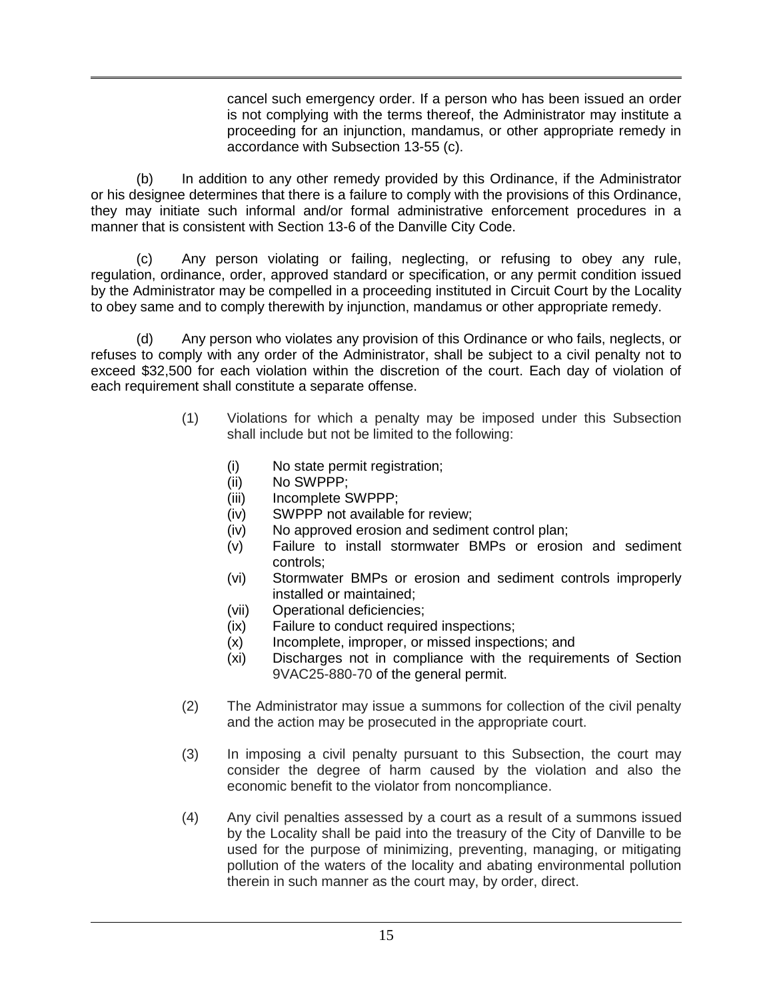cancel such emergency order. If a person who has been issued an order is not complying with the terms thereof, the Administrator may institute a proceeding for an injunction, mandamus, or other appropriate remedy in accordance with Subsection 13-55 (c).

(b) In addition to any other remedy provided by this Ordinance, if the Administrator or his designee determines that there is a failure to comply with the provisions of this Ordinance, they may initiate such informal and/or formal administrative enforcement procedures in a manner that is consistent with Section 13-6 of the Danville City Code.

(c) Any person violating or failing, neglecting, or refusing to obey any rule, regulation, ordinance, order, approved standard or specification, or any permit condition issued by the Administrator may be compelled in a proceeding instituted in Circuit Court by the Locality to obey same and to comply therewith by injunction, mandamus or other appropriate remedy.

(d) Any person who violates any provision of this Ordinance or who fails, neglects, or refuses to comply with any order of the Administrator, shall be subject to a civil penalty not to exceed \$32,500 for each violation within the discretion of the court. Each day of violation of each requirement shall constitute a separate offense.

- (1) Violations for which a penalty may be imposed under this Subsection shall include but not be limited to the following:
	- (i) No state permit registration;
	- (ii) No SWPPP;
	- (iii) Incomplete SWPPP;
	- (iv) SWPPP not available for review;
	- (iv) No approved erosion and sediment control plan;
	- (v) Failure to install stormwater BMPs or erosion and sediment controls;
	- (vi) Stormwater BMPs or erosion and sediment controls improperly installed or maintained;
	- (vii) Operational deficiencies;
	- (ix) Failure to conduct required inspections;
	- (x) Incomplete, improper, or missed inspections; and
	- (xi) Discharges not in compliance with the requirements of Section [9VAC25-880-70](http://leg1.state.va.us/cgi-bin/legp504.exe?000+reg+9VAC25-880-70) of the general permit.
- (2) The Administrator may issue a summons for collection of the civil penalty and the action may be prosecuted in the appropriate court.
- (3) In imposing a civil penalty pursuant to this Subsection, the court may consider the degree of harm caused by the violation and also the economic benefit to the violator from noncompliance.
- (4) Any civil penalties assessed by a court as a result of a summons issued by the Locality shall be paid into the treasury of the City of Danville to be used for the purpose of minimizing, preventing, managing, or mitigating pollution of the waters of the locality and abating environmental pollution therein in such manner as the court may, by order, direct.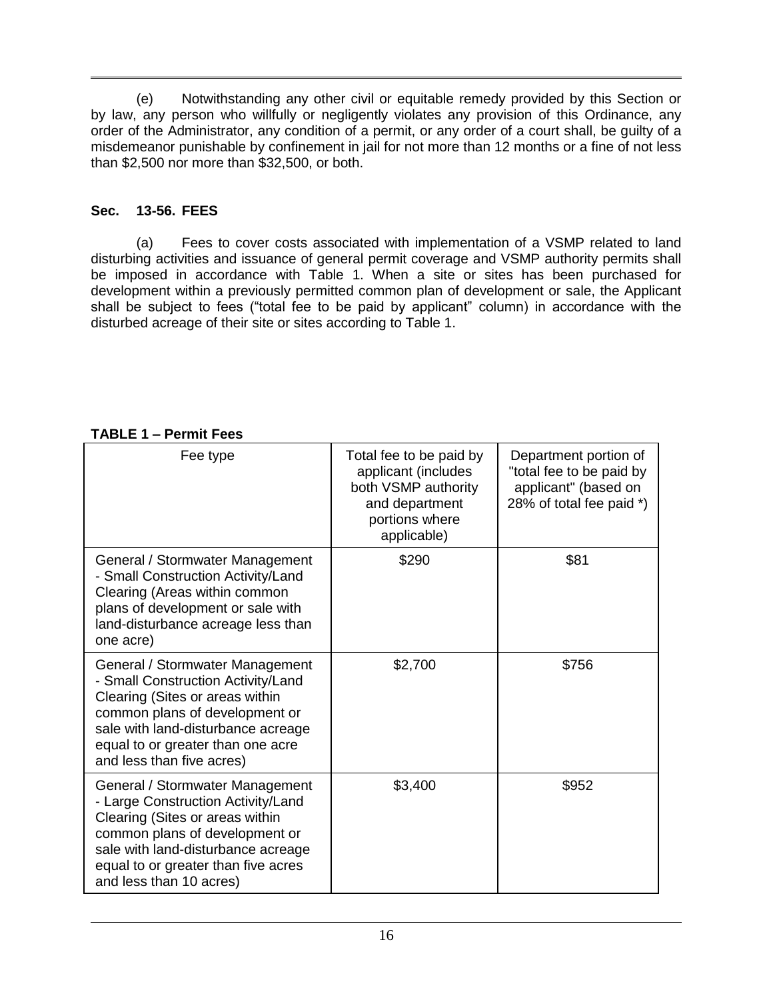(e) Notwithstanding any other civil or equitable remedy provided by this Section or by law, any person who willfully or negligently violates any provision of this Ordinance, any order of the Administrator, any condition of a permit, or any order of a court shall, be guilty of a misdemeanor punishable by confinement in jail for not more than 12 months or a fine of not less than \$2,500 nor more than \$32,500, or both.

# **Sec. 13-56. FEES**

(a) Fees to cover costs associated with implementation of a VSMP related to land disturbing activities and issuance of general permit coverage and VSMP authority permits shall be imposed in accordance with Table 1. When a site or sites has been purchased for development within a previously permitted common plan of development or sale, the Applicant shall be subject to fees ("total fee to be paid by applicant" column) in accordance with the disturbed acreage of their site or sites according to Table 1.

| <b>TABLE 1 – Permit Fees</b> |  |  |
|------------------------------|--|--|
|                              |  |  |

| Fee type                                                                                                                                                                                                                                           | Total fee to be paid by<br>applicant (includes<br>both VSMP authority<br>and department<br>portions where<br>applicable) | Department portion of<br>"total fee to be paid by<br>applicant" (based on<br>28% of total fee paid *) |
|----------------------------------------------------------------------------------------------------------------------------------------------------------------------------------------------------------------------------------------------------|--------------------------------------------------------------------------------------------------------------------------|-------------------------------------------------------------------------------------------------------|
| General / Stormwater Management<br>- Small Construction Activity/Land<br>Clearing (Areas within common<br>plans of development or sale with<br>land-disturbance acreage less than<br>one acre)                                                     | \$290                                                                                                                    | \$81                                                                                                  |
| General / Stormwater Management<br>- Small Construction Activity/Land<br>Clearing (Sites or areas within<br>common plans of development or<br>sale with land-disturbance acreage<br>equal to or greater than one acre<br>and less than five acres) | \$2,700                                                                                                                  | \$756                                                                                                 |
| General / Stormwater Management<br>- Large Construction Activity/Land<br>Clearing (Sites or areas within<br>common plans of development or<br>sale with land-disturbance acreage<br>equal to or greater than five acres<br>and less than 10 acres) | \$3,400                                                                                                                  | \$952                                                                                                 |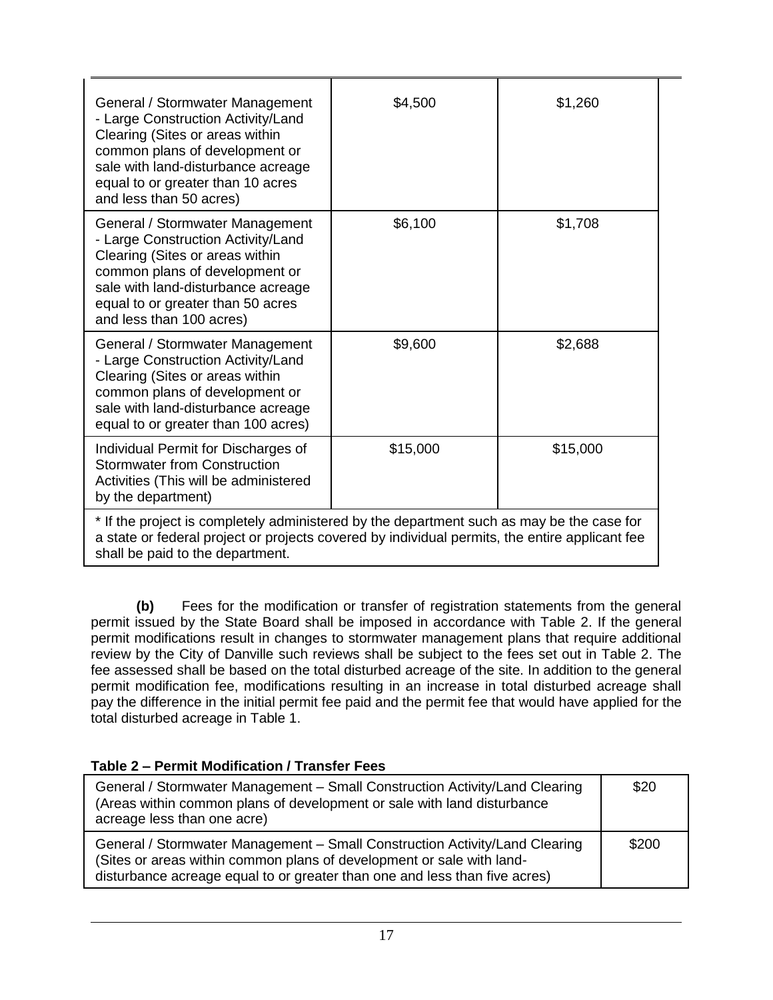| General / Stormwater Management<br>- Large Construction Activity/Land<br>Clearing (Sites or areas within<br>common plans of development or<br>sale with land-disturbance acreage<br>equal to or greater than 10 acres<br>and less than 50 acres)  | \$4,500  | \$1,260  |
|---------------------------------------------------------------------------------------------------------------------------------------------------------------------------------------------------------------------------------------------------|----------|----------|
| General / Stormwater Management<br>- Large Construction Activity/Land<br>Clearing (Sites or areas within<br>common plans of development or<br>sale with land-disturbance acreage<br>equal to or greater than 50 acres<br>and less than 100 acres) | \$6,100  | \$1,708  |
| General / Stormwater Management<br>- Large Construction Activity/Land<br>Clearing (Sites or areas within<br>common plans of development or<br>sale with land-disturbance acreage<br>equal to or greater than 100 acres)                           | \$9,600  | \$2,688  |
| Individual Permit for Discharges of<br><b>Stormwater from Construction</b><br>Activities (This will be administered<br>by the department)                                                                                                         | \$15,000 | \$15,000 |
| * If the project is completely administered by the department such as may be the case for<br>a state or federal project or projects covered by individual permits, the entire applicant fee                                                       |          |          |

shall be paid to the department.

**(b)** Fees for the modification or transfer of registration statements from the general permit issued by the State Board shall be imposed in accordance with Table 2. If the general permit modifications result in changes to stormwater management plans that require additional review by the City of Danville such reviews shall be subject to the fees set out in Table 2. The fee assessed shall be based on the total disturbed acreage of the site. In addition to the general permit modification fee, modifications resulting in an increase in total disturbed acreage shall pay the difference in the initial permit fee paid and the permit fee that would have applied for the total disturbed acreage in Table 1.

\$20

\$200

| Table 2 – Permit Modification / Transfer Fees                                                                                                                                                                                      |  |  |
|------------------------------------------------------------------------------------------------------------------------------------------------------------------------------------------------------------------------------------|--|--|
| General / Stormwater Management – Small Construction Activity/Land Clearing<br>(Areas within common plans of development or sale with land disturbance)<br>acreage less than one acre)                                             |  |  |
| General / Stormwater Management - Small Construction Activity/Land Clearing<br>(Sites or areas within common plans of development or sale with land-<br>disturbance acreage equal to or greater than one and less than five acres) |  |  |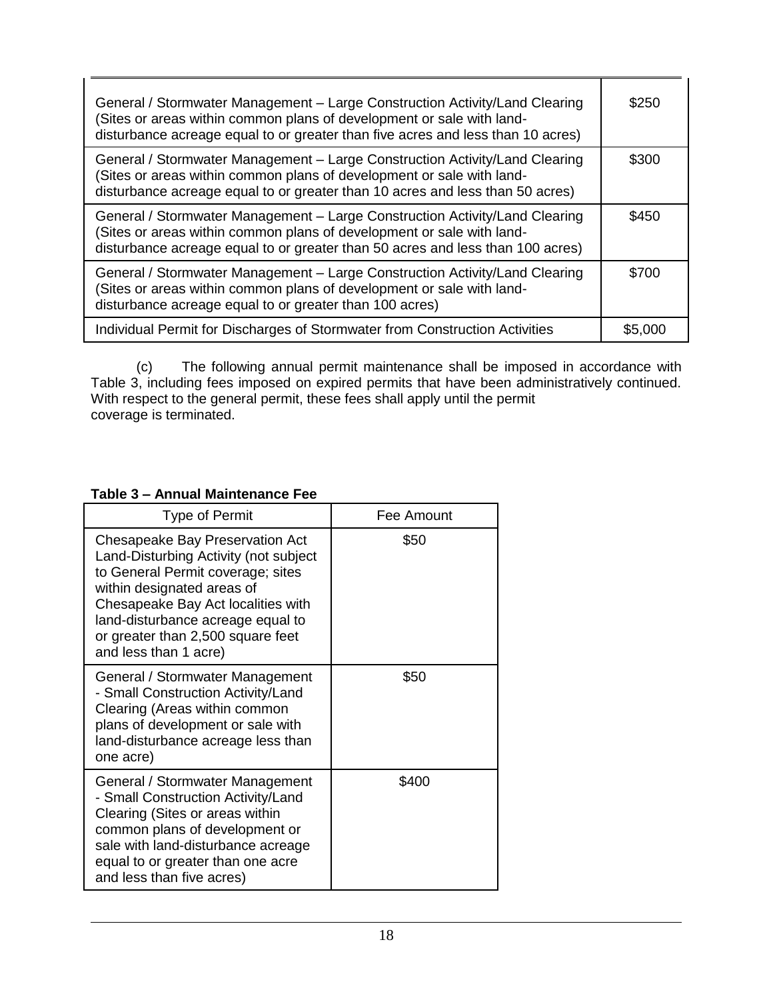| General / Stormwater Management - Large Construction Activity/Land Clearing<br>(Sites or areas within common plans of development or sale with land-<br>disturbance acreage equal to or greater than five acres and less than 10 acres) | \$250   |
|-----------------------------------------------------------------------------------------------------------------------------------------------------------------------------------------------------------------------------------------|---------|
| General / Stormwater Management - Large Construction Activity/Land Clearing<br>(Sites or areas within common plans of development or sale with land-<br>disturbance acreage equal to or greater than 10 acres and less than 50 acres)   | \$300   |
| General / Stormwater Management - Large Construction Activity/Land Clearing<br>(Sites or areas within common plans of development or sale with land-<br>disturbance acreage equal to or greater than 50 acres and less than 100 acres)  | \$450   |
| General / Stormwater Management - Large Construction Activity/Land Clearing<br>(Sites or areas within common plans of development or sale with land-<br>disturbance acreage equal to or greater than 100 acres)                         | \$700   |
| Individual Permit for Discharges of Stormwater from Construction Activities                                                                                                                                                             | \$5,000 |

(c) The following annual permit maintenance shall be imposed in accordance with Table 3, including fees imposed on expired permits that have been administratively continued. With respect to the general permit, these fees shall apply until the permit coverage is terminated.

## **Table 3 – Annual Maintenance Fee**

| <b>Type of Permit</b>                                                                                                                                                                                                                                                                | Fee Amount |
|--------------------------------------------------------------------------------------------------------------------------------------------------------------------------------------------------------------------------------------------------------------------------------------|------------|
| Chesapeake Bay Preservation Act<br>Land-Disturbing Activity (not subject<br>to General Permit coverage; sites<br>within designated areas of<br>Chesapeake Bay Act localities with<br>land-disturbance acreage equal to<br>or greater than 2,500 square feet<br>and less than 1 acre) | \$50       |
| General / Stormwater Management<br>- Small Construction Activity/Land<br>Clearing (Areas within common<br>plans of development or sale with<br>land-disturbance acreage less than<br>one acre)                                                                                       | \$50       |
| General / Stormwater Management<br>- Small Construction Activity/Land<br>Clearing (Sites or areas within<br>common plans of development or<br>sale with land-disturbance acreage<br>equal to or greater than one acre<br>and less than five acres)                                   | \$400      |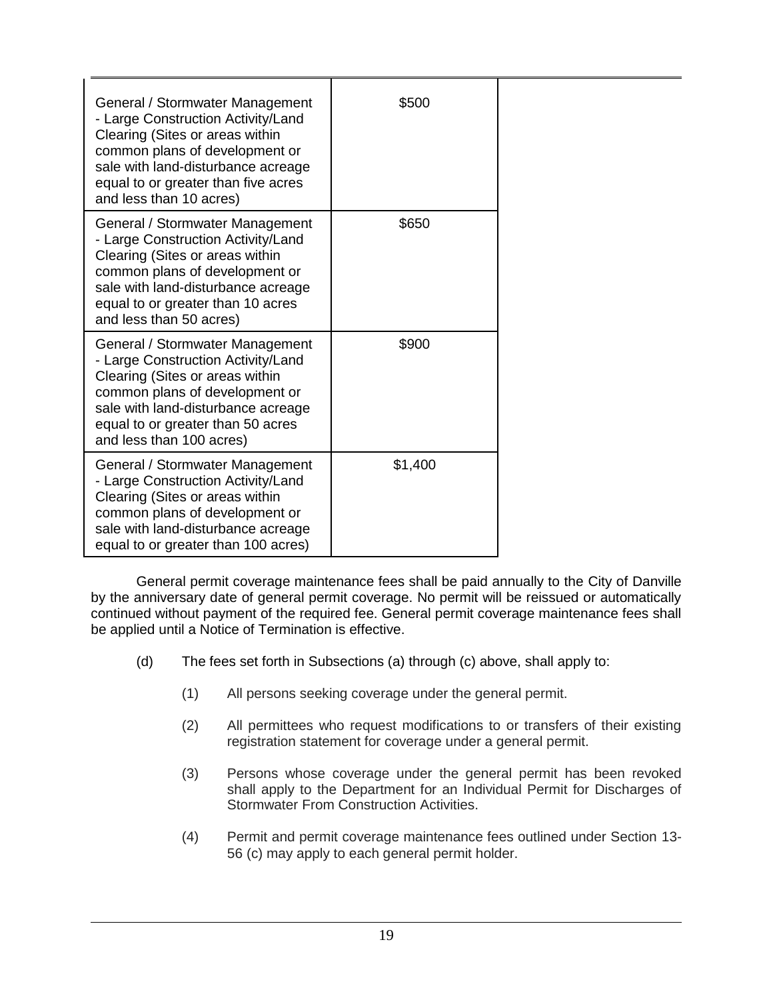| General / Stormwater Management<br>- Large Construction Activity/Land<br>Clearing (Sites or areas within<br>common plans of development or<br>sale with land-disturbance acreage<br>equal to or greater than five acres<br>and less than 10 acres) | \$500   |
|----------------------------------------------------------------------------------------------------------------------------------------------------------------------------------------------------------------------------------------------------|---------|
| General / Stormwater Management<br>- Large Construction Activity/Land<br>Clearing (Sites or areas within<br>common plans of development or<br>sale with land-disturbance acreage<br>equal to or greater than 10 acres<br>and less than 50 acres)   | \$650   |
| General / Stormwater Management<br>- Large Construction Activity/Land<br>Clearing (Sites or areas within<br>common plans of development or<br>sale with land-disturbance acreage<br>equal to or greater than 50 acres<br>and less than 100 acres)  | \$900   |
| General / Stormwater Management<br>- Large Construction Activity/Land<br>Clearing (Sites or areas within<br>common plans of development or<br>sale with land-disturbance acreage<br>equal to or greater than 100 acres)                            | \$1,400 |

General permit coverage maintenance fees shall be paid annually to the City of Danville by the anniversary date of general permit coverage. No permit will be reissued or automatically continued without payment of the required fee. General permit coverage maintenance fees shall be applied until a Notice of Termination is effective.

- (d) The fees set forth in Subsections (a) through (c) above, shall apply to:
	- (1) All persons seeking coverage under the general permit.
	- (2) All permittees who request modifications to or transfers of their existing registration statement for coverage under a general permit.
	- (3) Persons whose coverage under the general permit has been revoked shall apply to the Department for an Individual Permit for Discharges of Stormwater From Construction Activities.
	- (4) Permit and permit coverage maintenance fees outlined under Section 13- 56 (c) may apply to each general permit holder.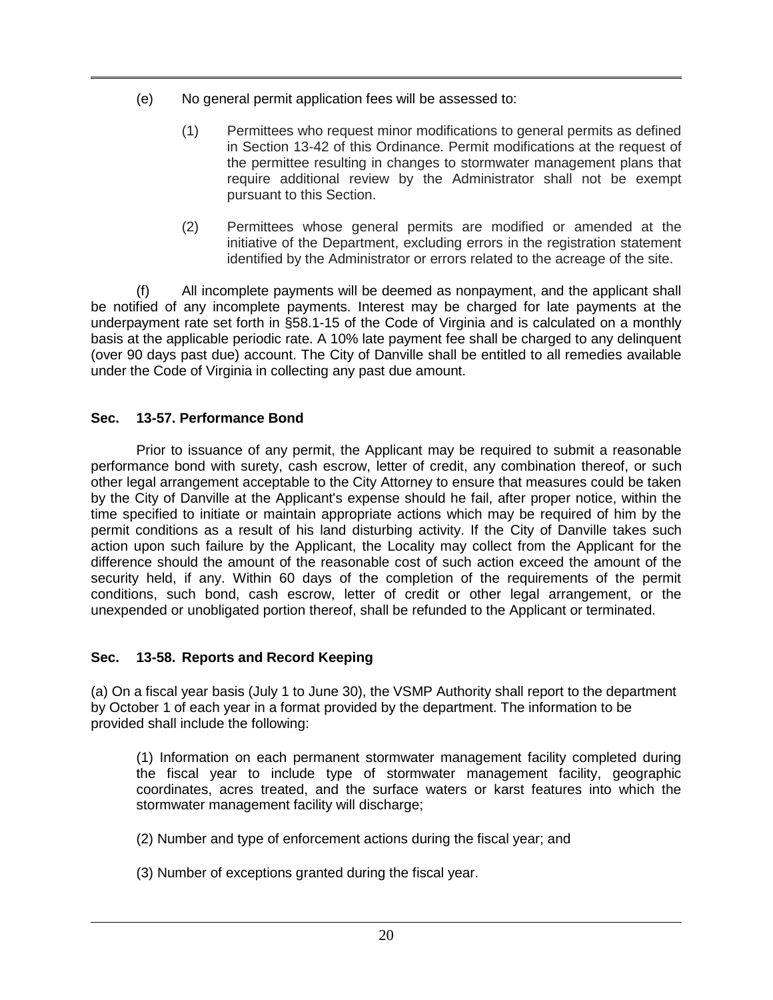- (e) No general permit application fees will be assessed to:
	- (1) Permittees who request minor modifications to general permits as defined in Section 13-42 of this Ordinance. Permit modifications at the request of the permittee resulting in changes to stormwater management plans that require additional review by the Administrator shall not be exempt pursuant to this Section.
	- (2) Permittees whose general permits are modified or amended at the initiative of the Department, excluding errors in the registration statement identified by the Administrator or errors related to the acreage of the site.

(f) All incomplete payments will be deemed as nonpayment, and the applicant shall be notified of any incomplete payments. Interest may be charged for late payments at the underpayment rate set forth in §58.1-15 of the Code of Virginia and is calculated on a monthly basis at the applicable periodic rate. A 10% late payment fee shall be charged to any delinquent (over 90 days past due) account. The City of Danville shall be entitled to all remedies available under the Code of Virginia in collecting any past due amount.

# **Sec. 13-57. Performance Bond**

Prior to issuance of any permit, the Applicant may be required to submit a reasonable performance bond with surety, cash escrow, letter of credit, any combination thereof, or such other legal arrangement acceptable to the City Attorney to ensure that measures could be taken by the City of Danville at the Applicant's expense should he fail, after proper notice, within the time specified to initiate or maintain appropriate actions which may be required of him by the permit conditions as a result of his land disturbing activity. If the City of Danville takes such action upon such failure by the Applicant, the Locality may collect from the Applicant for the difference should the amount of the reasonable cost of such action exceed the amount of the security held, if any. Within 60 days of the completion of the requirements of the permit conditions, such bond, cash escrow, letter of credit or other legal arrangement, or the unexpended or unobligated portion thereof, shall be refunded to the Applicant or terminated.

## **Sec. 13-58. Reports and Record Keeping**

(a) On a fiscal year basis (July 1 to June 30), the VSMP Authority shall report to the department by October 1 of each year in a format provided by the department. The information to be provided shall include the following:

(1) Information on each permanent stormwater management facility completed during the fiscal year to include type of stormwater management facility, geographic coordinates, acres treated, and the surface waters or karst features into which the stormwater management facility will discharge;

(2) Number and type of enforcement actions during the fiscal year; and

(3) Number of exceptions granted during the fiscal year.